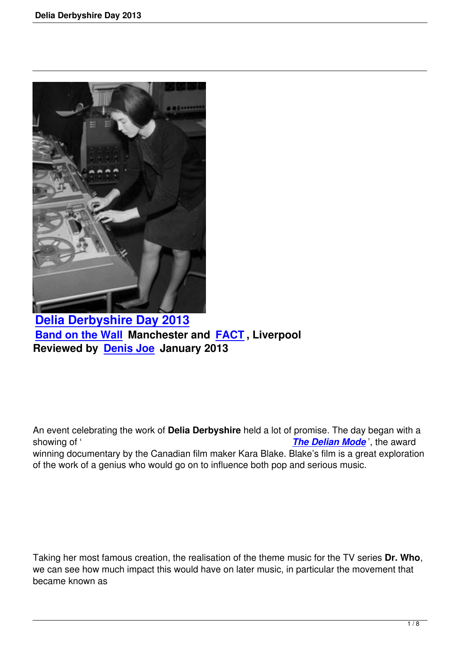

**Delia Derbyshire Day 2013 Band on the Wall Manchester and FACT , Liverpool [Reviewed by Denis Joe Janua](delia-derbyshire-day-2013.html)ry 2013**

An event celebrating the work of **Delia Derbyshire** held a lot of promise. The day began with a showing of ' *The Delian Mode* ', the award winning documentary by the Canadian film maker Kara Blake. Blake's film is a great exploration of the work of a genius who would go on to influence both pop and serious music.

Taking her most famous creation, the realisation of the theme music for the TV series **Dr. Who**, we can see how much impact this would have on later music, in particular the movement that became known as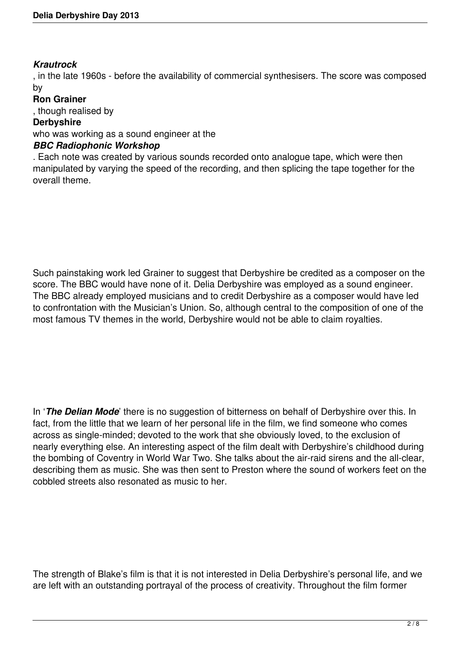### *Krautrock*

, in the late 1960s - before the availability of commercial synthesisers. The score was composed by

## **Ron Grainer**

, though realised by

### **Derbyshire**

who was working as a sound engineer at the

# *BBC Radiophonic Workshop*

. Each note was created by various sounds recorded onto analogue tape, which were then manipulated by varying the speed of the recording, and then splicing the tape together for the overall theme.

Such painstaking work led Grainer to suggest that Derbyshire be credited as a composer on the score. The BBC would have none of it. Delia Derbyshire was employed as a sound engineer. The BBC already employed musicians and to credit Derbyshire as a composer would have led to confrontation with the Musician's Union. So, although central to the composition of one of the most famous TV themes in the world, Derbyshire would not be able to claim royalties.

In '*The Delian Mode*' there is no suggestion of bitterness on behalf of Derbyshire over this. In fact, from the little that we learn of her personal life in the film, we find someone who comes across as single-minded; devoted to the work that she obviously loved, to the exclusion of nearly everything else. An interesting aspect of the film dealt with Derbyshire's childhood during the bombing of Coventry in World War Two. She talks about the air-raid sirens and the all-clear, describing them as music. She was then sent to Preston where the sound of workers feet on the cobbled streets also resonated as music to her.

The strength of Blake's film is that it is not interested in Delia Derbyshire's personal life, and we are left with an outstanding portrayal of the process of creativity. Throughout the film former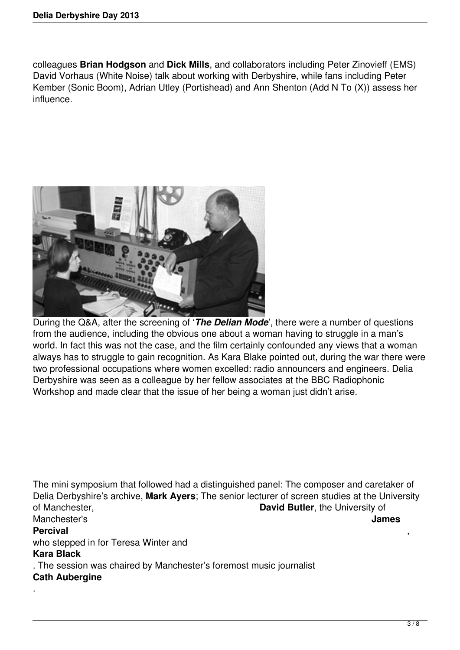.

colleagues **Brian Hodgson** and **Dick Mills**, and collaborators including Peter Zinovieff (EMS) David Vorhaus (White Noise) talk about working with Derbyshire, while fans including Peter Kember (Sonic Boom), Adrian Utley (Portishead) and Ann Shenton (Add N To (X)) assess her influence.



During the Q&A, after the screening of '*The Delian Mode*', there were a number of questions from the audience, including the obvious one about a woman having to struggle in a man's world. In fact this was not the case, and the film certainly confounded any views that a woman always has to struggle to gain recognition. As Kara Blake pointed out, during the war there were two professional occupations where women excelled: radio announcers and engineers. Delia Derbyshire was seen as a colleague by her fellow associates at the BBC Radiophonic Workshop and made clear that the issue of her being a woman just didn't arise.

The mini symposium that followed had a distinguished panel: The composer and caretaker of Delia Derbyshire's archive, **Mark Ayers**; The senior lecturer of screen studies at the University of Manchester, **David Butler**, the University of Manchester's **James Percival** , who stepped in for Teresa Winter and **Kara Black** . The session was chaired by Manchester's foremost music journalist **Cath Aubergine**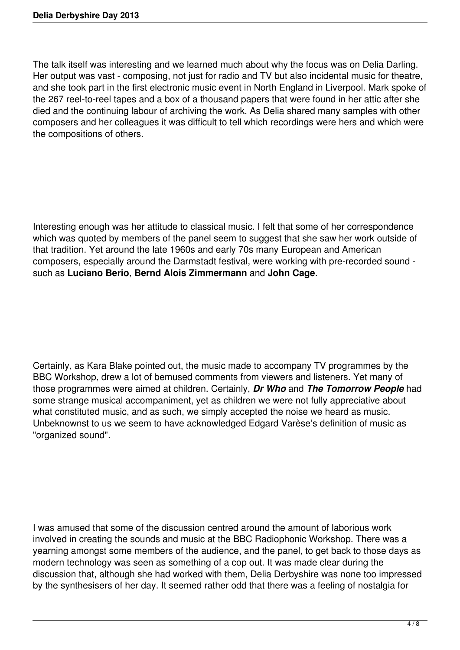The talk itself was interesting and we learned much about why the focus was on Delia Darling. Her output was vast - composing, not just for radio and TV but also incidental music for theatre, and she took part in the first electronic music event in North England in Liverpool. Mark spoke of the 267 reel-to-reel tapes and a box of a thousand papers that were found in her attic after she died and the continuing labour of archiving the work. As Delia shared many samples with other composers and her colleagues it was difficult to tell which recordings were hers and which were the compositions of others.

Interesting enough was her attitude to classical music. I felt that some of her correspondence which was quoted by members of the panel seem to suggest that she saw her work outside of that tradition. Yet around the late 1960s and early 70s many European and American composers, especially around the Darmstadt festival, were working with pre-recorded sound such as **Luciano Berio**, **Bernd Alois Zimmermann** and **John Cage**.

Certainly, as Kara Blake pointed out, the music made to accompany TV programmes by the BBC Workshop, drew a lot of bemused comments from viewers and listeners. Yet many of those programmes were aimed at children. Certainly, *Dr Who* and *The Tomorrow People* had some strange musical accompaniment, yet as children we were not fully appreciative about what constituted music, and as such, we simply accepted the noise we heard as music. Unbeknownst to us we seem to have acknowledged Edgard Varèse's definition of music as "organized sound".

I was amused that some of the discussion centred around the amount of laborious work involved in creating the sounds and music at the BBC Radiophonic Workshop. There was a yearning amongst some members of the audience, and the panel, to get back to those days as modern technology was seen as something of a cop out. It was made clear during the discussion that, although she had worked with them, Delia Derbyshire was none too impressed by the synthesisers of her day. It seemed rather odd that there was a feeling of nostalgia for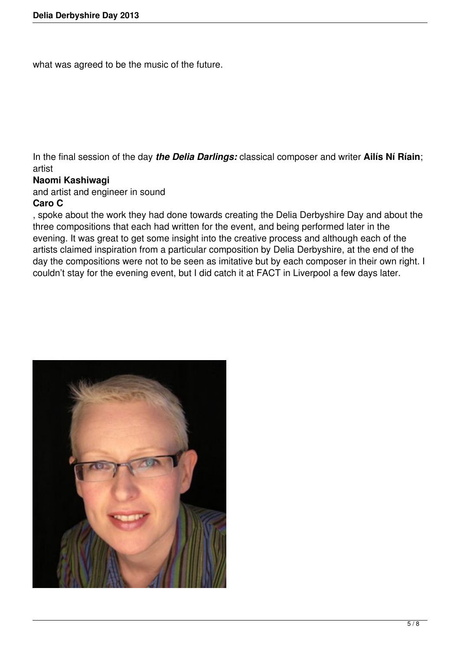what was agreed to be the music of the future.

In the final session of the day *the Delia Darlings:* classical composer and writer **Ailís Ní Ríain**; artist

## **Naomi Kashiwagi**

and artist and engineer in sound

## **Caro C**

, spoke about the work they had done towards creating the Delia Derbyshire Day and about the three compositions that each had written for the event, and being performed later in the evening. It was great to get some insight into the creative process and although each of the artists claimed inspiration from a particular composition by Delia Derbyshire, at the end of the day the compositions were not to be seen as imitative but by each composer in their own right. I couldn't stay for the evening event, but I did catch it at FACT in Liverpool a few days later.

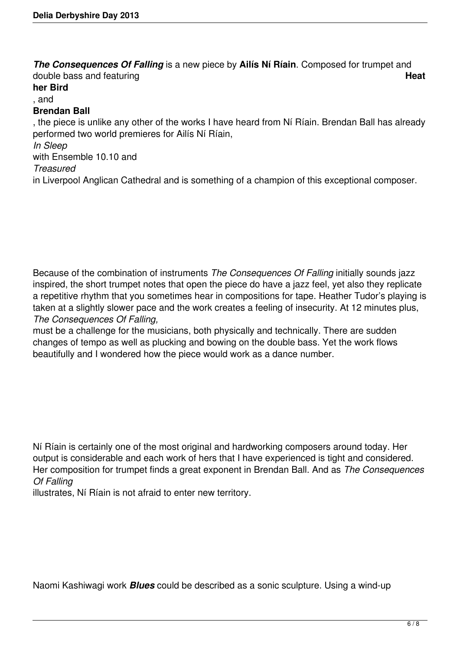*The Consequences Of Falling* is a new piece by **Ailís Ní Ríain**. Composed for trumpet and double bass and featuring **Heat her Bird** , and **Brendan Ball** , the piece is unlike any other of the works I have heard from Ní Ríain. Brendan Ball has already performed two world premieres for Ailís Ní Ríain, *In Sleep* with Ensemble 10.10 and *Treasured* in Liverpool Anglican Cathedral and is something of a champion of this exceptional composer.

Because of the combination of instruments *The Consequences Of Falling* initially sounds jazz inspired, the short trumpet notes that open the piece do have a jazz feel, yet also they replicate a repetitive rhythm that you sometimes hear in compositions for tape. Heather Tudor's playing is taken at a slightly slower pace and the work creates a feeling of insecurity. At 12 minutes plus, *The Consequences Of Falling,*

must be a challenge for the musicians, both physically and technically. There are sudden changes of tempo as well as plucking and bowing on the double bass. Yet the work flows beautifully and I wondered how the piece would work as a dance number.

Ní Ríain is certainly one of the most original and hardworking composers around today. Her output is considerable and each work of hers that I have experienced is tight and considered. Her composition for trumpet finds a great exponent in Brendan Ball. And as *The Consequences Of Falling*

illustrates, Ní Ríain is not afraid to enter new territory.

Naomi Kashiwagi work *Blues* could be described as a sonic sculpture. Using a wind-up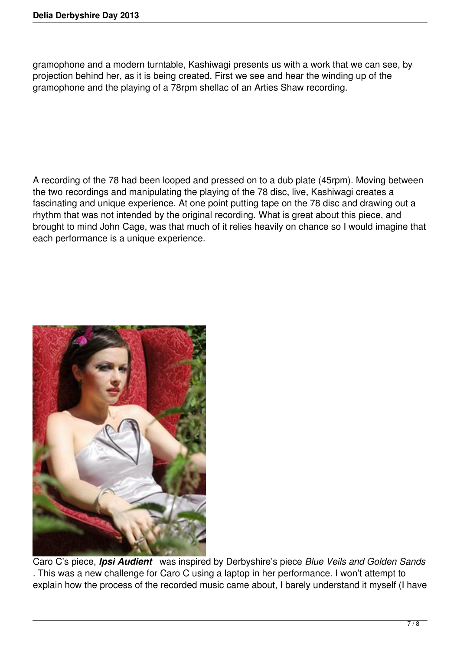gramophone and a modern turntable, Kashiwagi presents us with a work that we can see, by projection behind her, as it is being created. First we see and hear the winding up of the gramophone and the playing of a 78rpm shellac of an Arties Shaw recording.

A recording of the 78 had been looped and pressed on to a dub plate (45rpm). Moving between the two recordings and manipulating the playing of the 78 disc, live, Kashiwagi creates a fascinating and unique experience. At one point putting tape on the 78 disc and drawing out a rhythm that was not intended by the original recording. What is great about this piece, and brought to mind John Cage, was that much of it relies heavily on chance so I would imagine that each performance is a unique experience.



Caro C's piece, *Ipsi Audient* was inspired by Derbyshire's piece *Blue Veils and Golden Sands* . This was a new challenge for Caro C using a laptop in her performance. I won't attempt to explain how the process of the recorded music came about, I barely understand it myself (I have